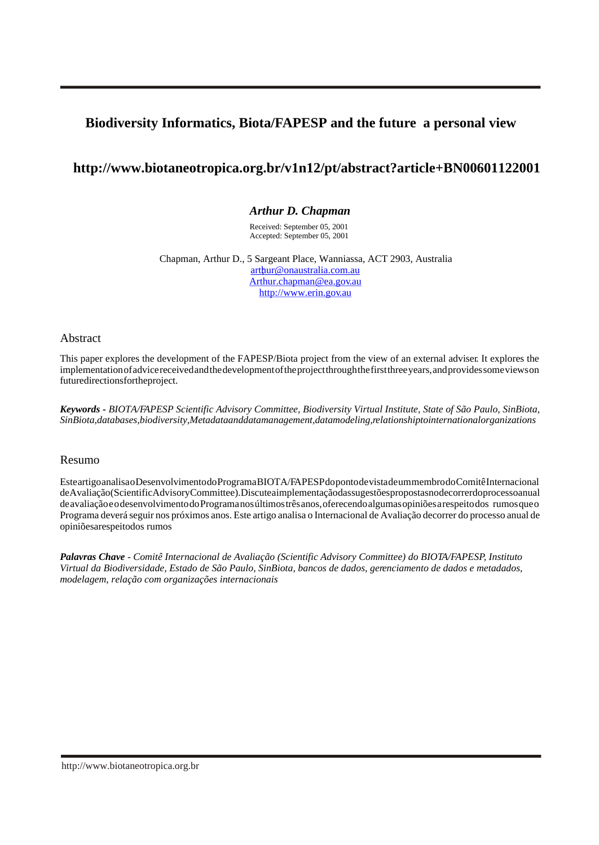# **Biodiversity Informatics, Biota/FAPESP and the future a personal view**

## **http://www.biotaneotropica.org.br/v1n12/pt/abstract?article+BN00601122001**

## *Arthur D. Chapman*

Received: September 05, 2001 Accepted: September 05, 2001

Chapman, Arthur D., 5 Sargeant Place, Wanniassa, ACT 2903, Australia  [; arthur@onaustralia.com.au](mailto:arthur@onaustralia.com.au) [Arthur.chapman@ea.gov.au](mailto:arthur.chapman@ea.gov.au) <http://www.erin.gov.au>

Abstract

This paper explores the development of the FAPESP/Biota project from the view of an external adviser. It explores the implementation of advice received and the development of the project through the first three years, and provides some views on future directions for the project.

*Keywords - BIOTA/FAPESP Scientific Advisory Committee, Biodiversity Virtual Institute, State of São Paulo, SinBiota, SinBiota, databases, biodiversity, Metadata and data management, data modeling, relationship to international organizations* 

### Resumo

Este artigo analisa o Desenvolvimento do Programa BIOTA/FAPESP do ponto de vista de um membro do Comitê Internacional de Avaliação (Scientific Advisory Committee). Discute a implementação das sugestões propostas no decorrer do processo anual de avaliação e o desenvolvimento do Programa nos últimos três anos, oferecendo algumas opiniões a respeito dos rumos que o Programa deverá seguir nos próximos anos. Este artigo analisa o Internacional de Avaliação decorrer do processo anual de opiniões arespeito dos rumos

*Palavras Chave - Comitê Internacional de Avaliação (Scientific Advisory Committee) do BIOTA/FAPESP, Instituto Virtual da Biodiversidade, Estado de São Paulo, SinBiota, bancos de dados, gerenciamento de dados e metadados, modelagem, relação com organizações internacionais*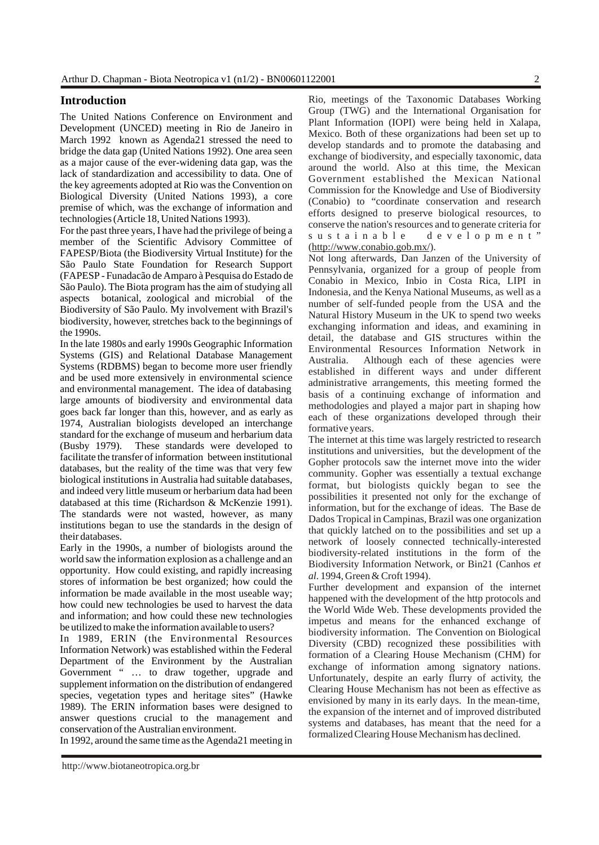### **Introduction**

The United Nations Conference on Environment and Development (UNCED) meeting in Rio de Janeiro in March 1992 known as Agenda21 stressed the need to bridge the data gap (United Nations 1992). One area seen as a major cause of the ever-widening data gap, was the lack of standardization and accessibility to data. One of the key agreements adopted at Rio was the Convention on Biological Diversity (United Nations 1993), a core premise of which, was the exchange of information and technologies (Article 18, United Nations 1993).

For the past three years, I have had the privilege of being a member of the Scientific Advisory Committee of FAPESP/Biota (the Biodiversity Virtual Institute) for the São Paulo State Foundation for Research Support (FAPESP - Funadacão de Amparo à Pesquisa do Estado de São Paulo). The Biota program has the aim of studying all aspects botanical, zoological and microbial of the Biodiversity of São Paulo. My involvement with Brazil's biodiversity, however, stretches back to the beginnings of the 1990s.

In the late 1980s and early 1990s Geographic Information Systems (GIS) and Relational Database Management Systems (RDBMS) began to become more user friendly and be used more extensively in environmental science and environmental management. The idea of databasing large amounts of biodiversity and environmental data goes back far longer than this, however, and as early as 1974, Australian biologists developed an interchange standard for the exchange of museum and herbarium data (Busby 1979). These standards were developed to facilitate the transfer of information between institutional databases, but the reality of the time was that very few biological institutions in Australia had suitable databases, and indeed very little museum or herbarium data had been databased at this time (Richardson & McKenzie 1991). The standards were not wasted, however, as many institutions began to use the standards in the design of their databases.

Early in the 1990s, a number of biologists around the world saw the information explosion as a challenge and an opportunity. How could existing, and rapidly increasing stores of information be best organized; how could the information be made available in the most useable way; how could new technologies be used to harvest the data and information; and how could these new technologies be utilized to make the information available to users?

In 1989, ERIN (the Environmental Resources Information Network) was established within the Federal Department of the Environment by the Australian Government " ... to draw together, upgrade and supplement information on the distribution of endangered species, vegetation types and heritage sites" (Hawke 1989). The ERIN information bases were designed to answer questions crucial to the management and conservation of the Australian environment.

In 1992, around the same time as the Agenda21 meeting in

Rio, meetings of the Taxonomic Databases Working Group (TWG) and the International Organisation for Plant Information (IOPI) were being held in Xalapa, Mexico. Both of these organizations had been set up to develop standards and to promote the databasing and exchange of biodiversity, and especially taxonomic, data around the world. Also at this time, the Mexican Government established the Mexican National Commission for the Knowledge and Use of Biodiversity (Conabio) to "coordinate conservation and research efforts designed to preserve biological resources, to conserve the nation's resources and to generate criteria for sustainable development" [\(http://www.conabio.gob.mx/\).](http://www.conabio.gob.mx)

Not long afterwards, Dan Janzen of the University of Pennsylvania, organized for a group of people from Conabio in Mexico, Inbio in Costa Rica, LIPI in Indonesia, and the Kenya National Museums, as well as a number of self-funded people from the USA and the Natural History Museum in the UK to spend two weeks exchanging information and ideas, and examining in detail, the database and GIS structures within the Environmental Resources Information Network in Australia. Although each of these agencies were established in different ways and under different administrative arrangements, this meeting formed the basis of a continuing exchange of information and methodologies and played a major part in shaping how each of these organizations developed through their formative years.

The internet at this time was largely restricted to research institutions and universities, but the development of the Gopher protocols saw the internet move into the wider community. Gopher was essentially a textual exchange format, but biologists quickly began to see the possibilities it presented not only for the exchange of information, but for the exchange of ideas. The Base de Dados Tropical in Campinas, Brazil was one organization that quickly latched on to the possibilities and set up a network of loosely connected technically-interested biodiversity-related institutions in the form of the Biodiversity Information Network, or Bin21 (Canhos *et al.* 1994, Green & Croft 1994).

Further development and expansion of the internet happened with the development of the http protocols and the World Wide Web. These developments provided the impetus and means for the enhanced exchange of biodiversity information. The Convention on Biological Diversity (CBD) recognized these possibilities with formation of a Clearing House Mechanism (CHM) for exchange of information among signatory nations. Unfortunately, despite an early flurry of activity, the Clearing House Mechanism has not been as effective as envisioned by many in its early days. In the mean-time, the expansion of the internet and of improved distributed systems and databases, has meant that the need for a formalized Clearing House Mechanism has declined.

<http://www.biotaneotropica.org.br>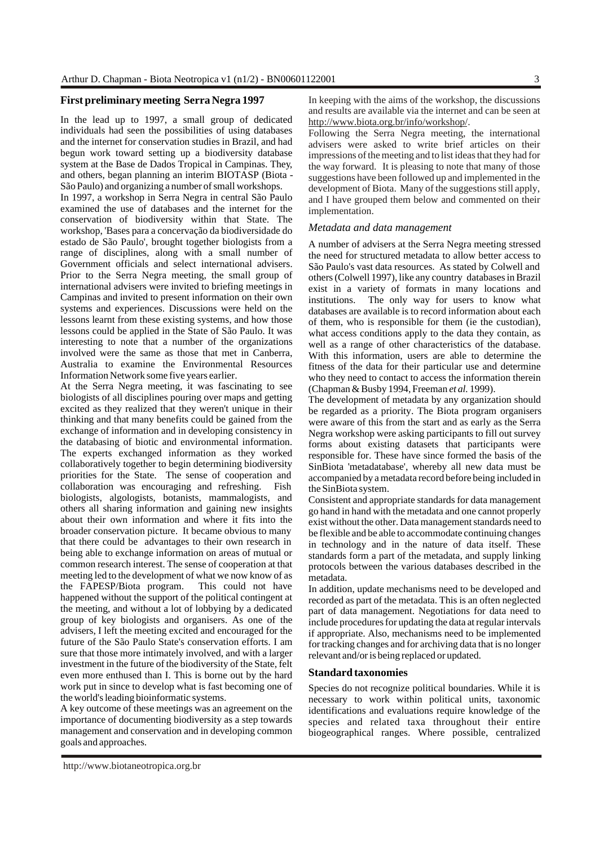### **First preliminary meeting Serra Negra 1997**

In the lead up to 1997, a small group of dedicated individuals had seen the possibilities of using databases and the internet for conservation studies in Brazil, and had begun work toward setting up a biodiversity database system at the Base de Dados Tropical in Campinas. They, and others, began planning an interim BIOTASP (Biota - São Paulo) and organizing a number of small workshops.

In 1997, a workshop in Serra Negra in central São Paulo examined the use of databases and the internet for the conservation of biodiversity within that State. The workshop, 'Bases para a concervação da biodiversidade do estado de São Paulo', brought together biologists from a range of disciplines, along with a small number of Government officials and select international advisers. Prior to the Serra Negra meeting, the small group of international advisers were invited to briefing meetings in Campinas and invited to present information on their own systems and experiences. Discussions were held on the lessons learnt from these existing systems, and how those lessons could be applied in the State of São Paulo. It was interesting to note that a number of the organizations involved were the same as those that met in Canberra, Australia to examine the Environmental Resources Information Network some five years earlier.

At the Serra Negra meeting, it was fascinating to see biologists of all disciplines pouring over maps and getting excited as they realized that they weren't unique in their thinking and that many benefits could be gained from the exchange of information and in developing consistency in the databasing of biotic and environmental information. The experts exchanged information as they worked collaboratively together to begin determining biodiversity priorities for the State. The sense of cooperation and collaboration was encouraging and refreshing. Fish biologists, algologists, botanists, mammalogists, and others all sharing information and gaining new insights about their own information and where it fits into the broader conservation picture. It became obvious to many that there could be advantages to their own research in being able to exchange information on areas of mutual or common research interest. The sense of cooperation at that meeting led to the development of what we now know of as<br>the FAPESP/Biota program. This could not have the FAPESP/Biota program. happened without the support of the political contingent at the meeting, and without a lot of lobbying by a dedicated group of key biologists and organisers. As one of the advisers, I left the meeting excited and encouraged for the future of the São Paulo State's conservation efforts. I am sure that those more intimately involved, and with a larger investment in the future of the biodiversity of the State, felt even more enthused than I. This is borne out by the hard work put in since to develop what is fast becoming one of the world's leading bioinformatic systems.

A key outcome of these meetings was an agreement on the importance of documenting biodiversity as a step towards management and conservation and in developing common goals and approaches.

In keeping with the aims of the workshop, the discussions and results are available via the internet and can be seen at [http://www.biota.org.br/info/workshop/.](http://www.biota.org.br/info/workshop)

Following the Serra Negra meeting, the international advisers were asked to write brief articles on their impressions of the meeting and to list ideas that they had for the way forward. It is pleasing to note that many of those suggestions have been followed up and implemented in the development of Biota. Many of the suggestions still apply, and I have grouped them below and commented on their implementation.

#### *Metadata and data management*

A number of advisers at the Serra Negra meeting stressed the need for structured metadata to allow better access to São Paulo's vast data resources. As stated by Colwell and others (Colwell 1997), like any country databases in Brazil exist in a variety of formats in many locations and institutions. The only way for users to know what databases are available is to record information about each of them, who is responsible for them (ie the custodian), what access conditions apply to the data they contain, as well as a range of other characteristics of the database. With this information, users are able to determine the fitness of the data for their particular use and determine who they need to contact to access the information therein (Chapman & Busby 1994, Freeman *et al.* 1999).

The development of metadata by any organization should be regarded as a priority. The Biota program organisers were aware of this from the start and as early as the Serra Negra workshop were asking participants to fill out survey forms about existing datasets that participants were responsible for. These have since formed the basis of the SinBiota 'metadatabase', whereby all new data must be accompanied by a metadata record before being included in the SinBiota system.

Consistent and appropriate standards for data management go hand in hand with the metadata and one cannot properly exist without the other. Data management standards need to be flexible and be able to accommodate continuing changes in technology and in the nature of data itself. These standards form a part of the metadata, and supply linking protocols between the various databases described in the metadata.

In addition, update mechanisms need to be developed and recorded as part of the metadata. This is an often neglected part of data management. Negotiations for data need to include procedures for updating the data at regular intervals if appropriate. Also, mechanisms need to be implemented for tracking changes and for archiving data that is no longer relevant and/or is being replaced or updated.

#### **Standard taxonomies**

Species do not recognize political boundaries. While it is necessary to work within political units, taxonomic identifications and evaluations require knowledge of the species and related taxa throughout their entire biogeographical ranges. Where possible, centralized

<http://www.biotaneotropica.org.br>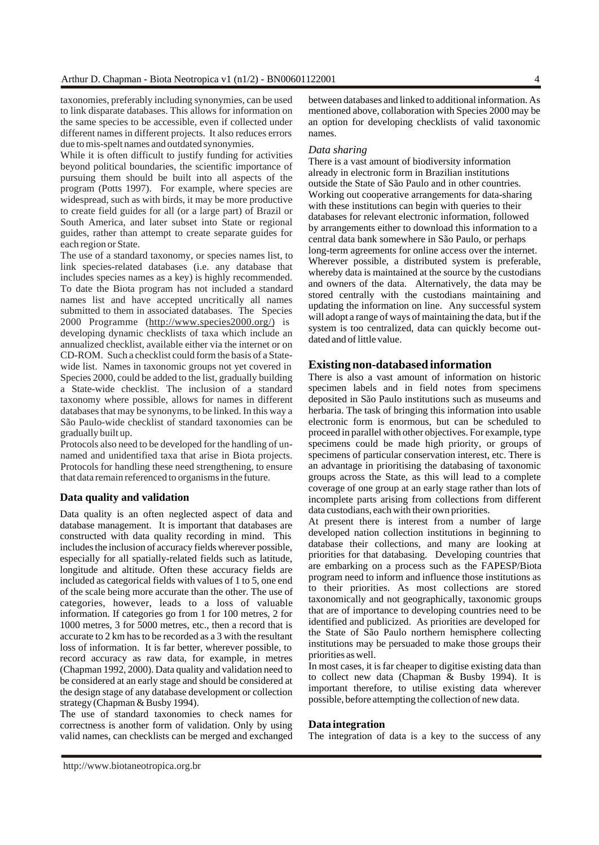taxonomies, preferably including synonymies, can be used to link disparate databases. This allows for information on the same species to be accessible, even if collected under different names in different projects. It also reduces errors due to mis-spelt names and outdated synonymies.

While it is often difficult to justify funding for activities beyond political boundaries, the scientific importance of pursuing them should be built into all aspects of the program (Potts 1997). For example, where species are widespread, such as with birds, it may be more productive to create field guides for all (or a large part) of Brazil or South America, and later subset into State or regional guides, rather than attempt to create separate guides for each region or State.

The use of a standard taxonomy, or species names list, to link species-related databases (i.e. any database that includes species names as a key) is highly recommended. To date the Biota program has not included a standard names list and have accepted uncritically all names submitted to them in associated databases. The Species 2000 Programme [\(http://www.species2000.org/\)](http://www.species2000.org/) is developing dynamic checklists of taxa which include an annualized checklist, available either via the internet or on CD-ROM. Such a checklist could form the basis of a Statewide list. Names in taxonomic groups not yet covered in Species 2000, could be added to the list, gradually building a State-wide checklist. The inclusion of a standard taxonomy where possible, allows for names in different databases that may be synonyms, to be linked. In this way a São Paulo-wide checklist of standard taxonomies can be gradually built up.

Protocols also need to be developed for the handling of unnamed and unidentified taxa that arise in Biota projects. Protocols for handling these need strengthening, to ensure that data remain referenced to organisms in the future.

### **Data quality and validation**

Data quality is an often neglected aspect of data and database management. It is important that databases are constructed with data quality recording in mind. This includes the inclusion of accuracy fields wherever possible, especially for all spatially-related fields such as latitude, longitude and altitude. Often these accuracy fields are included as categorical fields with values of 1 to 5, one end of the scale being more accurate than the other. The use of categories, however, leads to a loss of valuable information. If categories go from 1 for 100 metres, 2 for 1000 metres, 3 for 5000 metres, etc., then a record that is accurate to 2 km has to be recorded as a 3 with the resultant loss of information. It is far better, wherever possible, to record accuracy as raw data, for example, in metres (Chapman 1992, 2000). Data quality and validation need to be considered at an early stage and should be considered at the design stage of any database development or collection strategy (Chapman & Busby 1994).

The use of standard taxonomies to check names for correctness is another form of validation. Only by using valid names, can checklists can be merged and exchanged between databases and linked to additional information. As mentioned above, collaboration with Species 2000 may be an option for developing checklists of valid taxonomic names.

#### *Data sharing*

There is a vast amount of biodiversity information already in electronic form in Brazilian institutions outside the State of São Paulo and in other countries. Working out cooperative arrangements for data-sharing with these institutions can begin with queries to their databases for relevant electronic information, followed by arrangements either to download this information to a central data bank somewhere in São Paulo, or perhaps long-term agreements for online access over the internet. Wherever possible, a distributed system is preferable, whereby data is maintained at the source by the custodians and owners of the data. Alternatively, the data may be stored centrally with the custodians maintaining and updating the information on line. Any successful system will adopt a range of ways of maintaining the data, but if the system is too centralized, data can quickly become outdated and of little value.

#### **Existing non-databased information**

There is also a vast amount of information on historic specimen labels and in field notes from specimens deposited in São Paulo institutions such as museums and herbaria. The task of bringing this information into usable electronic form is enormous, but can be scheduled to proceed in parallel with other objectives. For example, type specimens could be made high priority, or groups of specimens of particular conservation interest, etc. There is an advantage in prioritising the databasing of taxonomic groups across the State, as this will lead to a complete coverage of one group at an early stage rather than lots of incomplete parts arising from collections from different data custodians, each with their own priorities.

At present there is interest from a number of large developed nation collection institutions in beginning to database their collections, and many are looking at priorities for that databasing. Developing countries that are embarking on a process such as the FAPESP/Biota program need to inform and influence those institutions as to their priorities. As most collections are stored taxonomically and not geographically, taxonomic groups that are of importance to developing countries need to be identified and publicized. As priorities are developed for the State of São Paulo northern hemisphere collecting institutions may be persuaded to make those groups their priorities as well.

In most cases, it is far cheaper to digitise existing data than to collect new data (Chapman & Busby 1994). It is important therefore, to utilise existing data wherever possible, before attempting the collection of new data.

#### **Data integration**

The integration of data is a key to the success of any

<http://www.biotaneotropica.org.br>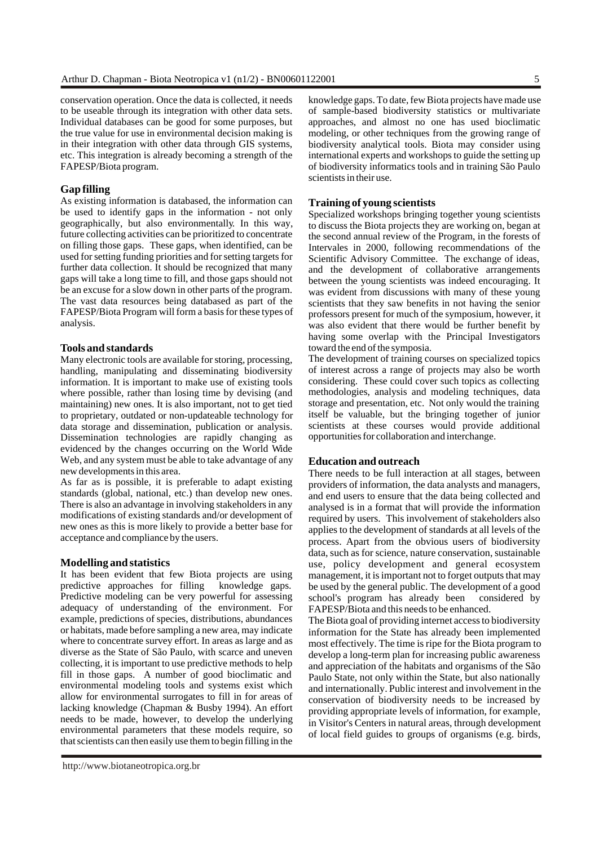conservation operation. Once the data is collected, it needs to be useable through its integration with other data sets. Individual databases can be good for some purposes, but the true value for use in environmental decision making is in their integration with other data through GIS systems, etc. This integration is already becoming a strength of the FAPESP/Biota program.

### **Gap filling**

As existing information is databased, the information can be used to identify gaps in the information - not only geographically, but also environmentally. In this way, future collecting activities can be prioritized to concentrate on filling those gaps. These gaps, when identified, can be used for setting funding priorities and for setting targets for further data collection. It should be recognized that many gaps will take a long time to fill, and those gaps should not be an excuse for a slow down in other parts of the program. The vast data resources being databased as part of the FAPESP/Biota Program will form a basis for these types of analysis.

#### **Tools and standards**

Many electronic tools are available for storing, processing, handling, manipulating and disseminating biodiversity information. It is important to make use of existing tools where possible, rather than losing time by devising (and maintaining) new ones. It is also important, not to get tied to proprietary, outdated or non-updateable technology for data storage and dissemination, publication or analysis. Dissemination technologies are rapidly changing as evidenced by the changes occurring on the World Wide Web, and any system must be able to take advantage of any new developments in this area.

As far as is possible, it is preferable to adapt existing standards (global, national, etc.) than develop new ones. There is also an advantage in involving stakeholders in any modifications of existing standards and/or development of new ones as this is more likely to provide a better base for acceptance and compliance by the users.

#### **Modelling and statistics**

It has been evident that few Biota projects are using predictive approaches for filling knowledge gaps. Predictive modeling can be very powerful for assessing adequacy of understanding of the environment. For example, predictions of species, distributions, abundances or habitats, made before sampling a new area, may indicate where to concentrate survey effort. In areas as large and as diverse as the State of São Paulo, with scarce and uneven collecting, it is important to use predictive methods to help fill in those gaps. A number of good bioclimatic and environmental modeling tools and systems exist which allow for environmental surrogates to fill in for areas of lacking knowledge (Chapman & Busby 1994). An effort needs to be made, however, to develop the underlying environmental parameters that these models require, so that scientists can then easily use them to begin filling in the

knowledge gaps. To date, few Biota projects have made use of sample-based biodiversity statistics or multivariate approaches, and almost no one has used bioclimatic modeling, or other techniques from the growing range of biodiversity analytical tools. Biota may consider using international experts and workshops to guide the setting up of biodiversity informatics tools and in training São Paulo scientists in their use.

### **Training of young scientists**

Specialized workshops bringing together young scientists to discuss the Biota projects they are working on, began at the second annual review of the Program, in the forests of Intervales in 2000, following recommendations of the Scientific Advisory Committee. The exchange of ideas, and the development of collaborative arrangements between the young scientists was indeed encouraging. It was evident from discussions with many of these young scientists that they saw benefits in not having the senior professors present for much of the symposium, however, it was also evident that there would be further benefit by having some overlap with the Principal Investigators toward the end of the symposia.

The development of training courses on specialized topics of interest across a range of projects may also be worth considering. These could cover such topics as collecting methodologies, analysis and modeling techniques, data storage and presentation, etc. Not only would the training itself be valuable, but the bringing together of junior scientists at these courses would provide additional opportunities for collaboration and interchange.

### **Education and outreach**

There needs to be full interaction at all stages, between providers of information, the data analysts and managers, and end users to ensure that the data being collected and analysed is in a format that will provide the information required by users. This involvement of stakeholders also applies to the development of standards at all levels of the process. Apart from the obvious users of biodiversity data, such as for science, nature conservation, sustainable use, policy development and general ecosystem management, it is important not to forget outputs that may be used by the general public. The development of a good school's program has already been considered by FAPESP/Biota and this needs to be enhanced.

The Biota goal of providing internet access to biodiversity information for the State has already been implemented most effectively. The time is ripe for the Biota program to develop a long-term plan for increasing public awareness and appreciation of the habitats and organisms of the São Paulo State, not only within the State, but also nationally and internationally. Public interest and involvement in the conservation of biodiversity needs to be increased by providing appropriate levels of information, for example, in Visitor's Centers in natural areas, through development of local field guides to groups of organisms (e.g. birds,

<http://www.biotaneotropica.org.br>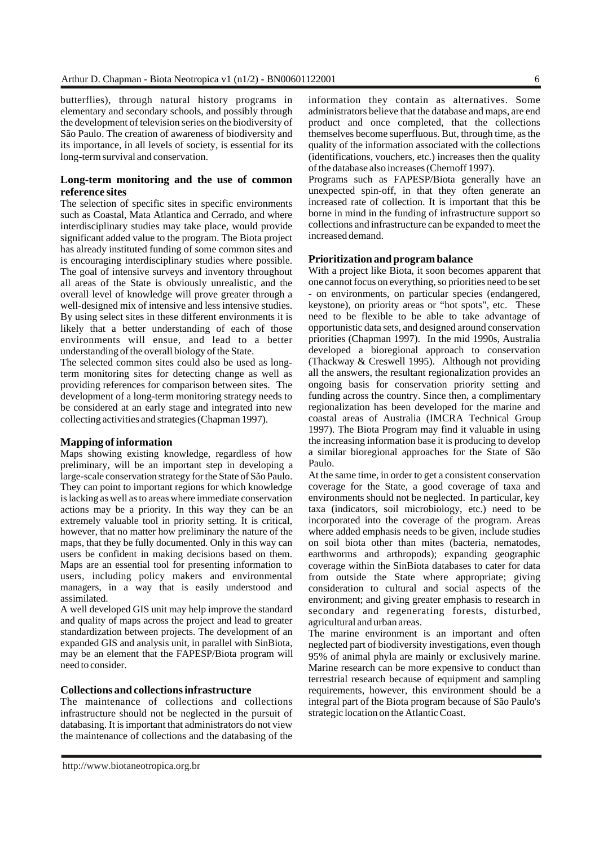butterflies), through natural history programs in elementary and secondary schools, and possibly through the development of television series on the biodiversity of São Paulo. The creation of awareness of biodiversity and its importance, in all levels of society, is essential for its long-term survival and conservation.

### **Long-term monitoring and the use of common reference sites**

The selection of specific sites in specific environments such as Coastal, Mata Atlantica and Cerrado, and where interdisciplinary studies may take place, would provide significant added value to the program. The Biota project has already instituted funding of some common sites and is encouraging interdisciplinary studies where possible. The goal of intensive surveys and inventory throughout all areas of the State is obviously unrealistic, and the overall level of knowledge will prove greater through a well-designed mix of intensive and less intensive studies. By using select sites in these different environments it is likely that a better understanding of each of those environments will ensue, and lead to a better understanding of the overall biology of the State.

The selected common sites could also be used as longterm monitoring sites for detecting change as well as providing references for comparison between sites. The development of a long-term monitoring strategy needs to be considered at an early stage and integrated into new collecting activities and strategies (Chapman 1997).

#### **Mapping of information**

Maps showing existing knowledge, regardless of how preliminary, will be an important step in developing a large-scale conservation strategy for the State of São Paulo. They can point to important regions for which knowledge is lacking as well as to areas where immediate conservation actions may be a priority. In this way they can be an extremely valuable tool in priority setting. It is critical, however, that no matter how preliminary the nature of the maps, that they be fully documented. Only in this way can users be confident in making decisions based on them. Maps are an essential tool for presenting information to users, including policy makers and environmental managers, in a way that is easily understood and assimilated.

A well developed GIS unit may help improve the standard and quality of maps across the project and lead to greater standardization between projects. The development of an expanded GIS and analysis unit, in parallel with SinBiota, may be an element that the FAPESP/Biota program will need to consider.

### **Collections and collections infrastructure**

The maintenance of collections and collections infrastructure should not be neglected in the pursuit of databasing. It is important that administrators do not view the maintenance of collections and the databasing of the information they contain as alternatives. Some administrators believe that the database and maps, are end product and once completed, that the collections themselves become superfluous. But, through time, as the quality of the information associated with the collections (identifications, vouchers, etc.) increases then the quality of the database also increases (Chernoff 1997).

Programs such as FAPESP/Biota generally have an unexpected spin-off, in that they often generate an increased rate of collection. It is important that this be borne in mind in the funding of infrastructure support so collections and infrastructure can be expanded to meet the increased demand.

### **Prioritization and program balance**

With a project like Biota, it soon becomes apparent that one cannot focus on everything, so priorities need to be set - on environments, on particular species (endangered, keystone), on priority areas or "hot spots", etc. These need to be flexible to be able to take advantage of opportunistic data sets, and designed around conservation priorities (Chapman 1997). In the mid 1990s, Australia developed a bioregional approach to conservation (Thackway & Creswell 1995). Although not providing all the answers, the resultant regionalization provides an ongoing basis for conservation priority setting and funding across the country. Since then, a complimentary regionalization has been developed for the marine and coastal areas of Australia (IMCRA Technical Group 1997). The Biota Program may find it valuable in using the increasing information base it is producing to develop a similar bioregional approaches for the State of São Paulo.

At the same time, in order to get a consistent conservation coverage for the State, a good coverage of taxa and environments should not be neglected. In particular, key taxa (indicators, soil microbiology, etc.) need to be incorporated into the coverage of the program. Areas where added emphasis needs to be given, include studies on soil biota other than mites (bacteria, nematodes, earthworms and arthropods); expanding geographic coverage within the SinBiota databases to cater for data from outside the State where appropriate; giving consideration to cultural and social aspects of the environment; and giving greater emphasis to research in secondary and regenerating forests, disturbed, agricultural and urban areas.

The marine environment is an important and often neglected part of biodiversity investigations, even though 95% of animal phyla are mainly or exclusively marine. Marine research can be more expensive to conduct than terrestrial research because of equipment and sampling requirements, however, this environment should be a integral part of the Biota program because of São Paulo's strategic location on the Atlantic Coast.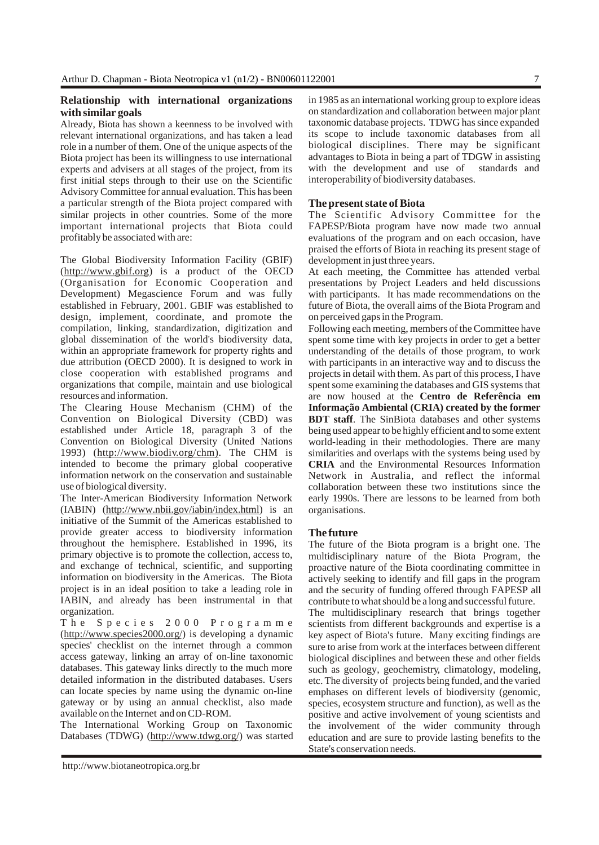### **Relationship with international organizations with similar goals**

Already, Biota has shown a keenness to be involved with relevant international organizations, and has taken a lead role in a number of them. One of the unique aspects of the Biota project has been its willingness to use international experts and advisers at all stages of the project, from its first initial steps through to their use on the Scientific Advisory Committee for annual evaluation. This has been a particular strength of the Biota project compared with similar projects in other countries. Some of the more important international projects that Biota could profitably be associated with are:

The Global Biodiversity Information Facility (GBIF) [\(http://www.gbif.org\)](http://www.gbif.org) is a product of the OECD (Organisation for Economic Cooperation and Development) Megascience Forum and was fully established in February, 2001. GBIF was established to design, implement, coordinate, and promote the compilation, linking, standardization, digitization and global dissemination of the world's biodiversity data, within an appropriate framework for property rights and due attribution (OECD 2000). It is designed to work in close cooperation with established programs and organizations that compile, maintain and use biological resources and information.

The Clearing House Mechanism (CHM) of the Convention on Biological Diversity (CBD) was established under Article 18, paragraph 3 of the Convention on Biological Diversity (United Nations 1993) [\(http://www.biodiv.org/chm\).](http://www.biodiv.org/chm) The CHM is intended to become the primary global cooperative information network on the conservation and sustainable use of biological diversity.

The Inter-American Biodiversity Information Network (IABIN) [\(http://www.nbii.gov/iabin/index.html\)](http://www.nbii.gov/iabin/index.html) is an initiative of the Summit of the Americas established to provide greater access to biodiversity information throughout the hemisphere. Established in 1996, its primary objective is to promote the collection, access to, and exchange of technical, scientific, and supporting information on biodiversity in the Americas. The Biota project is in an ideal position to take a leading role in IABIN, and already has been instrumental in that organization.

The Species 2000 Programme [\(http://www.species2000.org/\)](http://www.species2000.org/) is developing a dynamic species' checklist on the internet through a common access gateway, linking an array of on-line taxonomic databases. This gateway links directly to the much more detailed information in the distributed databases. Users can locate species by name using the dynamic on-line gateway or by using an annual checklist, also made available on the Internet and on CD-ROM.

The International Working Group on Taxonomic Databases (TDWG) [\(http://www.tdwg.org/\)](http://www.tdwg.org/) was started in 1985 as an international working group to explore ideas on standardization and collaboration between major plant taxonomic database projects. TDWG has since expanded its scope to include taxonomic databases from all biological disciplines. There may be significant advantages to Biota in being a part of TDGW in assisting with the development and use of standards and interoperability of biodiversity databases.

### **The present state of Biota**

The Scientific Advisory Committee for the FAPESP/Biota program have now made two annual evaluations of the program and on each occasion, have praised the efforts of Biota in reaching its present stage of development in just three years.

At each meeting, the Committee has attended verbal presentations by Project Leaders and held discussions with participants. It has made recommendations on the future of Biota, the overall aims of the Biota Program and on perceived gaps in the Program.

Following each meeting, members of the Committee have spent some time with key projects in order to get a better understanding of the details of those program, to work with participants in an interactive way and to discuss the projects in detail with them. As part of this process, I have spent some examining the databases and GIS systems that are now housed at the **Centro de Referência em Informação Ambiental (CRIA) created by the former BDT staff**. The SinBiota databases and other systems being used appear to be highly efficient and to some extent world-leading in their methodologies. There are many similarities and overlaps with the systems being used by **CRIA** and the Environmental Resources Information Network in Australia, and reflect the informal collaboration between these two institutions since the early 1990s. There are lessons to be learned from both organisations.

### **The future**

The future of the Biota program is a bright one. The multidisciplinary nature of the Biota Program, the proactive nature of the Biota coordinating committee in actively seeking to identify and fill gaps in the program and the security of funding offered through FAPESP all contribute to what should be a long and successful future.

The multidisciplinary research that brings together scientists from different backgrounds and expertise is a key aspect of Biota's future. Many exciting findings are sure to arise from work at the interfaces between different biological disciplines and between these and other fields such as geology, geochemistry, climatology, modeling, etc. The diversity of projects being funded, and the varied emphases on different levels of biodiversity (genomic, species, ecosystem structure and function), as well as the positive and active involvement of young scientists and the involvement of the wider community through education and are sure to provide lasting benefits to the State's conservation needs.

<http://www.biotaneotropica.org.br>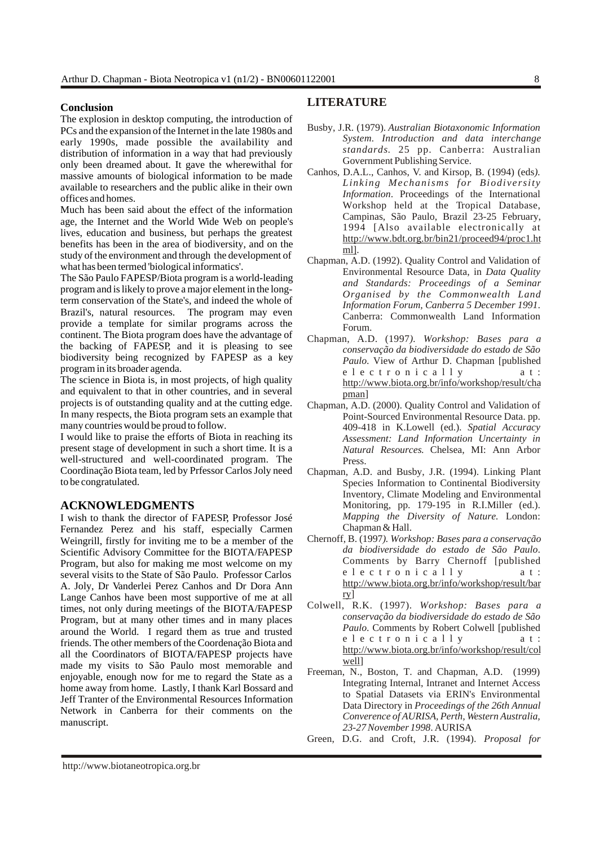### **Conclusion**

The explosion in desktop computing, the introduction of PCs and the expansion of the Internet in the late 1980s and early 1990s, made possible the availability and distribution of information in a way that had previously only been dreamed about. It gave the wherewithal for massive amounts of biological information to be made available to researchers and the public alike in their own offices and homes.

Much has been said about the effect of the information age, the Internet and the World Wide Web on people's lives, education and business, but perhaps the greatest benefits has been in the area of biodiversity, and on the study of the environment and through the development of what has been termed 'biological informatics'.

The São Paulo FAPESP/Biota program is a world-leading program and is likely to prove a major element in the longterm conservation of the State's, and indeed the whole of Brazil's, natural resources. The program may even provide a template for similar programs across the continent. The Biota program does have the advantage of the backing of FAPESP, and it is pleasing to see biodiversity being recognized by FAPESP as a key program in its broader agenda.

The science in Biota is, in most projects, of high quality and equivalent to that in other countries, and in several projects is of outstanding quality and at the cutting edge. In many respects, the Biota program sets an example that many countries would be proud to follow.

I would like to praise the efforts of Biota in reaching its present stage of development in such a short time. It is a well-structured and well-coordinated program. The Coordinação Biota team, led by Prfessor Carlos Joly need to be congratulated.

### **ACKNOWLEDGMENTS**

I wish to thank the director of FAPESP, Professor José Fernandez Perez and his staff, especially Carmen Weingrill, firstly for inviting me to be a member of the Scientific Advisory Committee for the BIOTA/FAPESP Program, but also for making me most welcome on my several visits to the State of São Paulo. Professor Carlos A. Joly, Dr Vanderlei Perez Canhos and Dr Dora Ann Lange Canhos have been most supportive of me at all times, not only during meetings of the BIOTA/FAPESP Program, but at many other times and in many places around the World. I regard them as true and trusted friends. The other members of the Coordenação Biota and all the Coordinators of BIOTA/FAPESP projects have made my visits to São Paulo most memorable and enjoyable, enough now for me to regard the State as a home away from home. Lastly, I thank Karl Bossard and Jeff Tranter of the Environmental Resources Information Network in Canberra for their comments on the manuscript.

### **LITERATURE**

- Busby, J.R. (1979). *Australian Biotaxonomic Information System. Introduction and data interchange standards*. 25 pp. Canberra: Australian Government Publishing Service.
- Canhos, D.A.L., Canhos, V. and Kirsop, B. (1994) (eds*). Linking Mechanisms for Biodiversity Information*. Proceedings of the International Workshop held at the Tropical Database, Campinas, São Paulo, Brazil 23-25 February, 1994 [Also available electronically at [http://www.bdt.org.br/bin21/proceed94/proc1.ht](http://www.bdt.org.br/bin21/proceed94/proc1.html) ml].
- Chapman, A.D. (1992). Quality Control and Validation of Environmental Resource Data, in *Data Quality and Standards: Proceedings of a Seminar Organised by the Commonwealth Land Information Forum, Canberra 5 December 1991*. Canberra: Commonwealth Land Information Forum.
- Chapman, A.D. (1997*). Workshop: Bases para a conservação da biodiversidade do estado de São Paulo*. View of Arthur D. Chapman [published electronically at: [http://www.biota.org.br/info/workshop/result/cha](http://www.biota.org.br/info/workshop/result/chapman) pman]
- Chapman, A.D. (2000). Quality Control and Validation of Point-Sourced Environmental Resource Data. pp. 409-418 in K.Lowell (ed.). *Spatial Accuracy Assessment: Land Information Uncertainty in Natural Resources*. Chelsea, MI: Ann Arbor Press.
- Chapman, A.D. and Busby, J.R. (1994). Linking Plant Species Information to Continental Biodiversity Inventory, Climate Modeling and Environmental Monitoring, pp. 179-195 in R.I.Miller (ed.). *Mapping the Diversity of Nature*. London: Chapman & Hall.
- Chernoff, B. (1997*). Workshop: Bases para a conservação da biodiversidade do estado de São Paulo*. Comments by Barry Chernoff [published electronically at: [http://www.biota.org.br/info/workshop/result/bar](http://www.biota.org.br/info/workshop/result/barry) ry]
- Colwell, R.K. (1997). *Workshop: Bases para a conservação da biodiversidade do estado de São Paulo*. Comments by Robert Colwell [published electronically at: [http://www.biota.org.br/info/workshop/result/col](http://www.biota.org.br/info/workshop/result/colwell) well]
- Freeman, N., Boston, T. and Chapman, A.D. (1999) Integrating Internal, Intranet and Internet Access to Spatial Datasets via ERIN's Environmental Data Directory in *Proceedings of the 26th Annual Converence of AURISA, Perth, Western Australia, 23-27 November 1998*. AURISA
- Green, D.G. and Croft, J.R. (1994). *Proposal for*

<http://www.biotaneotropica.org.br>